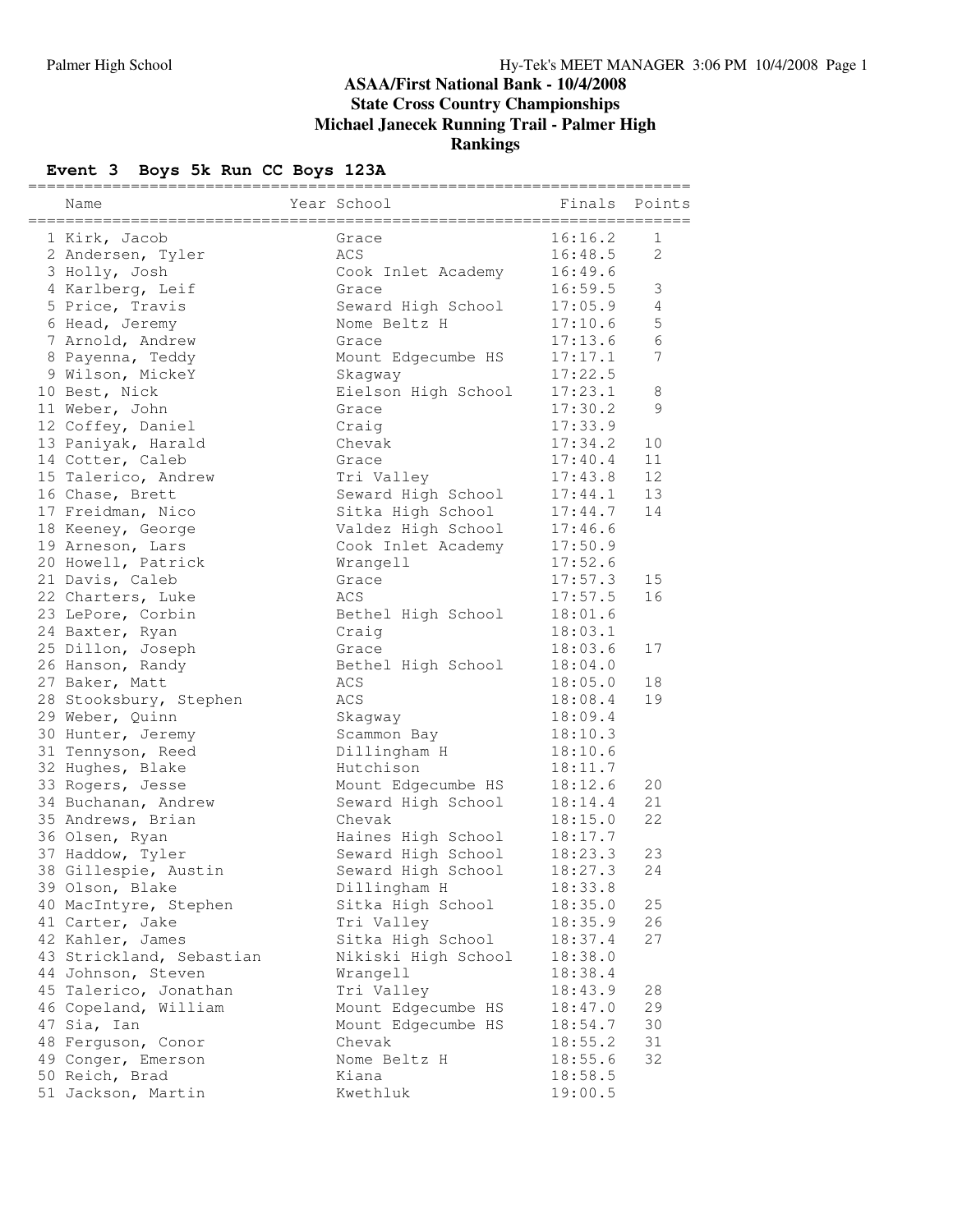#### **ASAA/First National Bank - 10/4/2008 State Cross Country Championships Michael Janecek Running Trail - Palmer High Rankings**

# **Event 3 Boys 5k Run CC Boys 123A**

| Name                     | Year School               | Finals  | Points         |
|--------------------------|---------------------------|---------|----------------|
| 1 Kirk, Jacob            | Grace                     | 16:16.2 | 1              |
| 2 Andersen, Tyler        | ACS                       | 16:48.5 | 2              |
| 3 Holly, Josh            | Cook Inlet Academy        | 16:49.6 |                |
| 4 Karlberg, Leif         | Grace                     | 16:59.5 | 3              |
| 5 Price, Travis          | Seward High School        | 17:05.9 | $\overline{4}$ |
| 6 Head, Jeremy           | Nome Beltz H              | 17:10.6 | $\mathsf S$    |
| 7 Arnold, Andrew         | Grace                     | 17:13.6 | 6              |
| 8 Payenna, Teddy         | Mount Edgecumbe HS        | 17:17.1 | 7              |
| 9 Wilson, MickeY         | Skaqway                   | 17:22.5 |                |
| 10 Best, Nick            | Eielson High School       | 17:23.1 | 8              |
| 11 Weber, John           | Grace                     | 17:30.2 | 9              |
| 12 Coffey, Daniel        | Craig                     | 17:33.9 |                |
| 13 Paniyak, Harald       | Chevak                    | 17:34.2 | 10             |
| 14 Cotter, Caleb         | Grace                     | 17:40.4 | 11             |
| 15 Talerico, Andrew      | Tri Valley                | 17:43.8 | 12             |
| 16 Chase, Brett          | Seward High School        | 17:44.1 | 13             |
| 17 Freidman, Nico        | Sitka High School         | 17:44.7 | 14             |
| 18 Keeney, George        | Valdez High School        | 17:46.6 |                |
| 19 Arneson, Lars         | Cook Inlet Academy        | 17:50.9 |                |
| 20 Howell, Patrick       | Wrangell                  | 17:52.6 |                |
| 21 Davis, Caleb          | Grace                     | 17:57.3 | 15             |
| 22 Charters, Luke        | ACS                       | 17:57.5 | 16             |
| 23 LePore, Corbin        | Bethel High School        | 18:01.6 |                |
| 24 Baxter, Ryan          | Craig                     | 18:03.1 |                |
| 25 Dillon, Joseph        | Grace                     | 18:03.6 | 17             |
| 26 Hanson, Randy         | Bethel High School        | 18:04.0 |                |
| 27 Baker, Matt           | ACS                       | 18:05.0 | 18             |
|                          | ACS                       | 18:08.4 | 19             |
| 28 Stooksbury, Stephen   |                           | 18:09.4 |                |
| 29 Weber, Quinn          | Skagway                   | 18:10.3 |                |
| 30 Hunter, Jeremy        | Scammon Bay               | 18:10.6 |                |
| 31 Tennyson, Reed        | Dillingham H<br>Hutchison |         |                |
| 32 Hughes, Blake         |                           | 18:11.7 | 20             |
| 33 Rogers, Jesse         | Mount Edgecumbe HS        | 18:12.6 |                |
| 34 Buchanan, Andrew      | Seward High School        | 18:14.4 | 21<br>22       |
| 35 Andrews, Brian        | Chevak                    | 18:15.0 |                |
| 36 Olsen, Ryan           | Haines High School        | 18:17.7 |                |
| 37 Haddow, Tyler         | Seward High School        | 18:23.3 | 23             |
| 38 Gillespie, Austin     | Seward High School        | 18:27.3 | 24             |
| 39 Olson, Blake          | Dillingham H              | 18:33.8 |                |
| 40 MacIntyre, Stephen    | Sitka High School         | 18:35.0 | 25             |
| 41 Carter, Jake          | Tri Valley                | 18:35.9 | 26             |
| 42 Kahler, James         | Sitka High School         | 18:37.4 | 27             |
| 43 Strickland, Sebastian | Nikiski High School       | 18:38.0 |                |
| 44 Johnson, Steven       | Wrangell                  | 18:38.4 |                |
| 45 Talerico, Jonathan    | Tri Valley                | 18:43.9 | 28             |
| 46 Copeland, William     | Mount Edgecumbe HS        | 18:47.0 | 29             |
| 47 Sia, Ian              | Mount Edgecumbe HS        | 18:54.7 | 30             |
| 48 Ferguson, Conor       | Chevak                    | 18:55.2 | 31             |
| 49 Conger, Emerson       | Nome Beltz H              | 18:55.6 | 32             |
| 50 Reich, Brad           | Kiana                     | 18:58.5 |                |
| 51 Jackson, Martin       | Kwethluk                  | 19:00.5 |                |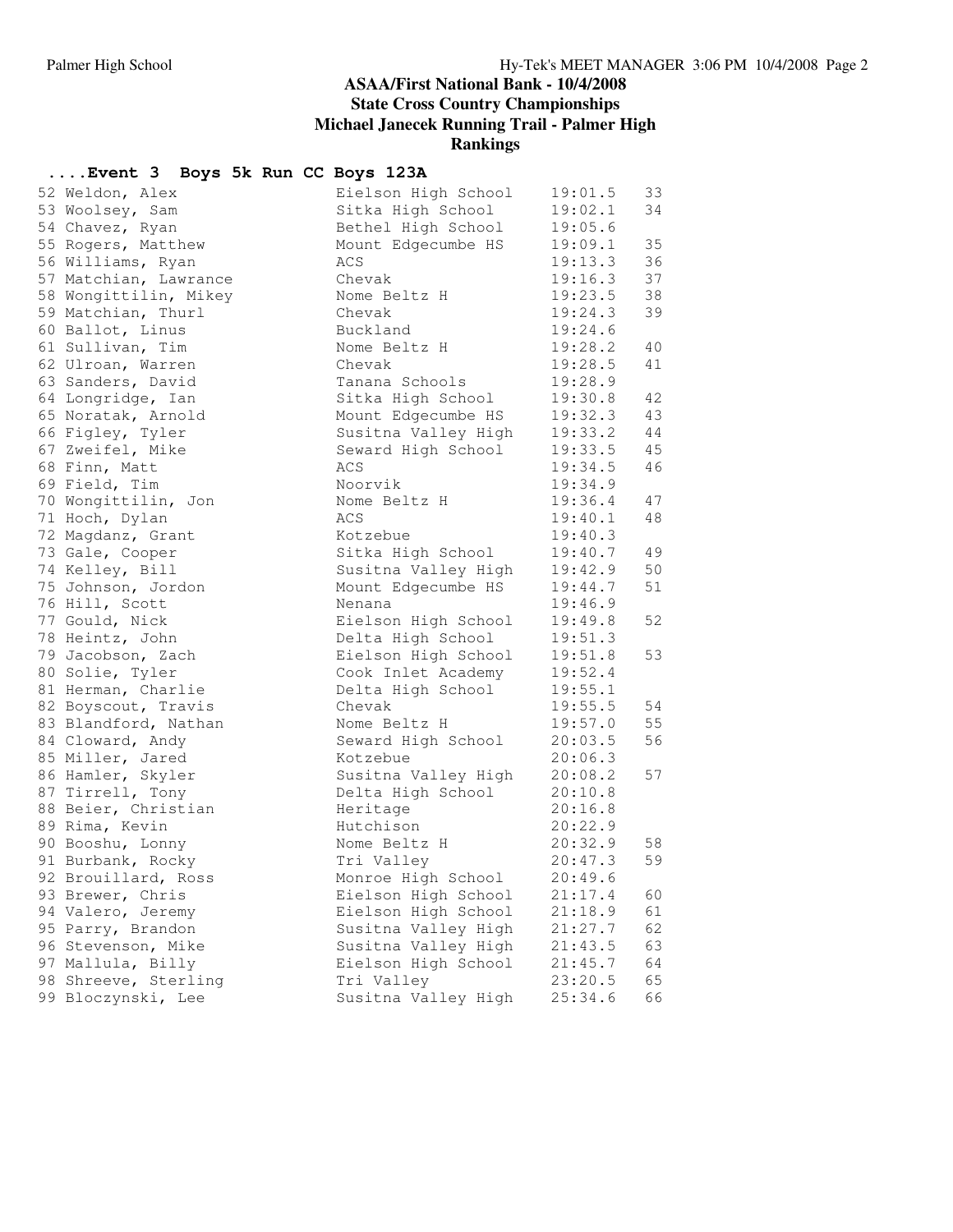#### **ASAA/First National Bank - 10/4/2008 State Cross Country Championships Michael Janecek Running Trail - Palmer High**

**Rankings**

## **....Event 3 Boys 5k Run CC Boys 123A**

| 52 Weldon, Alex       | Eielson High School | 19:01.5 | 33 |
|-----------------------|---------------------|---------|----|
| 53 Woolsey, Sam       | Sitka High School   | 19:02.1 | 34 |
| 54 Chavez, Ryan       | Bethel High School  | 19:05.6 |    |
| 55 Rogers, Matthew    | Mount Edgecumbe HS  | 19:09.1 | 35 |
| 56 Williams, Ryan     | ACS                 | 19:13.3 | 36 |
| 57 Matchian, Lawrance | Chevak              | 19:16.3 | 37 |
| 58 Wongittilin, Mikey | Nome Beltz H        | 19:23.5 | 38 |
| 59 Matchian, Thurl    | Chevak              | 19:24.3 | 39 |
| 60 Ballot, Linus      | Buckland            | 19:24.6 |    |
| 61 Sullivan, Tim      | Nome Beltz H        | 19:28.2 | 40 |
| 62 Ulroan, Warren     | Chevak              | 19:28.5 | 41 |
| 63 Sanders, David     | Tanana Schools      | 19:28.9 |    |
| 64 Longridge, Ian     | Sitka High School   | 19:30.8 | 42 |
| 65 Noratak, Arnold    | Mount Edgecumbe HS  | 19:32.3 | 43 |
| 66 Figley, Tyler      | Susitna Valley High | 19:33.2 | 44 |
| 67 Zweifel, Mike      | Seward High School  | 19:33.5 | 45 |
| 68 Finn, Matt         | ACS                 | 19:34.5 | 46 |
| 69 Field, Tim         | Noorvik             | 19:34.9 |    |
| 70 Wongittilin, Jon   | Nome Beltz H        | 19:36.4 | 47 |
| 71 Hoch, Dylan        | ACS                 | 19:40.1 | 48 |
| 72 Magdanz, Grant     | Kotzebue            | 19:40.3 |    |
| 73 Gale, Cooper       | Sitka High School   | 19:40.7 | 49 |
| 74 Kelley, Bill       | Susitna Valley High | 19:42.9 | 50 |
| 75 Johnson, Jordon    | Mount Edgecumbe HS  | 19:44.7 | 51 |
| 76 Hill, Scott        | Nenana              | 19:46.9 |    |
| 77 Gould, Nick        | Eielson High School | 19:49.8 | 52 |
| 78 Heintz, John       | Delta High School   | 19:51.3 |    |
| 79 Jacobson, Zach     | Eielson High School | 19:51.8 | 53 |
| 80 Solie, Tyler       | Cook Inlet Academy  | 19:52.4 |    |
| 81 Herman, Charlie    | Delta High School   | 19:55.1 |    |
| 82 Boyscout, Travis   | Chevak              | 19:55.5 | 54 |
| 83 Blandford, Nathan  | Nome Beltz H        | 19:57.0 | 55 |
| 84 Cloward, Andy      | Seward High School  | 20:03.5 | 56 |
| 85 Miller, Jared      | Kotzebue            | 20:06.3 |    |
| 86 Hamler, Skyler     | Susitna Valley High | 20:08.2 | 57 |
| 87 Tirrell, Tony      | Delta High School   | 20:10.8 |    |
| 88 Beier, Christian   | Heritage            | 20:16.8 |    |
| 89 Rima, Kevin        | Hutchison           | 20:22.9 |    |
| 90 Booshu, Lonny      | Nome Beltz H        | 20:32.9 | 58 |
| 91 Burbank, Rocky     | Tri Valley          | 20:47.3 | 59 |
| 92 Brouillard, Ross   | Monroe High School  | 20:49.6 |    |
| 93 Brewer, Chris      | Eielson High School | 21:17.4 | 60 |
| 94 Valero, Jeremy     | Eielson High School | 21:18.9 | 61 |
| 95 Parry, Brandon     | Susitna Valley High | 21:27.7 | 62 |
| 96 Stevenson, Mike    | Susitna Valley High | 21:43.5 | 63 |
| 97 Mallula, Billy     | Eielson High School | 21:45.7 | 64 |
| 98 Shreeve, Sterling  | Tri Valley          | 23:20.5 | 65 |
| 99 Bloczynski, Lee    | Susitna Valley High | 25:34.6 | 66 |
|                       |                     |         |    |